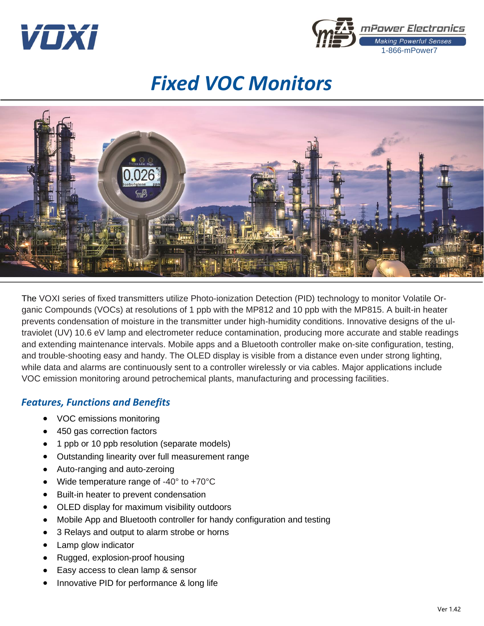



# *Fixed VOC Monitors*



The VOXI series of fixed transmitters utilize Photo-ionization Detection (PID) technology to monitor Volatile Organic Compounds (VOCs) at resolutions of 1 ppb with the MP812 and 10 ppb with the MP815. A built-in heater prevents condensation of moisture in the transmitter under high-humidity conditions. Innovative designs of the ultraviolet (UV) 10.6 eV lamp and electrometer reduce contamination, producing more accurate and stable readings and extending maintenance intervals. Mobile apps and a Bluetooth controller make on-site configuration, testing, and trouble-shooting easy and handy. The OLED display is visible from a distance even under strong lighting, while data and alarms are continuously sent to a controller wirelessly or via cables. Major applications include VOC emission monitoring around petrochemical plants, manufacturing and processing facilities.

## *Features, Functions and Benefits*

- VOC emissions monitoring
- 450 gas correction factors
- 1 ppb or 10 ppb resolution (separate models)
- Outstanding linearity over full measurement range
- Auto-ranging and auto-zeroing
- Wide temperature range of -40° to +70°C
- Built-in heater to prevent condensation
- OLED display for maximum visibility outdoors
- Mobile App and Bluetooth controller for handy configuration and testing
- 3 Relays and output to alarm strobe or horns
- Lamp glow indicator
- Rugged, explosion-proof housing
- Easy access to clean lamp & sensor
- Innovative PID for performance & long life